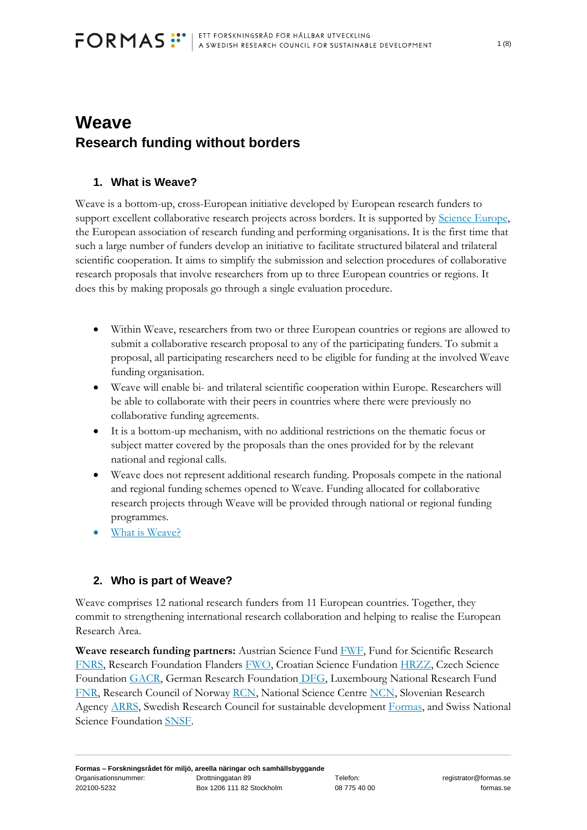# **Weave Research funding without borders**

# **1. What is Weave?**

Weave is a bottom-up, cross-European initiative developed by European research funders to support excellent collaborative research projects across borders. It is supported by [Science Europe,](https://www.scienceeurope.org/) the European association of research funding and performing organisations. It is the first time that such a large number of funders develop an initiative to facilitate structured bilateral and trilateral scientific cooperation. It aims to simplify the submission and selection procedures of collaborative research proposals that involve researchers from up to three European countries or regions. It does this by making proposals go through a single evaluation procedure.

- Within Weave, researchers from two or three European countries or regions are allowed to submit a collaborative research proposal to any of the participating funders. To submit a proposal, all participating researchers need to be eligible for funding at the involved Weave funding organisation.
- Weave will enable bi- and trilateral scientific cooperation within Europe. Researchers will be able to collaborate with their peers in countries where there were previously no collaborative funding agreements.
- It is a bottom-up mechanism, with no additional restrictions on the thematic focus or subject matter covered by the proposals than the ones provided for by the relevant national and regional calls.
- Weave does not represent additional research funding. Proposals compete in the national and regional funding schemes opened to Weave. Funding allocated for collaborative research projects through Weave will be provided through national or regional funding programmes.
- [What is Weave?](https://weave-research.net/about/)

# **2. Who is part of Weave?**

Weave comprises 12 national research funders from 11 European countries. Together, they commit to strengthening international research collaboration and helping to realise the European Research Area.

**Weave research funding partners:** Austrian Science Fund [FWF,](https://www.fwf.ac.at/en/research-funding/fwf-programmes/international-programmes/joint-projects) Fund for Scientific Research [FNRS,](https://www.frs-fnrs.be/fr/financements/credits-et-projets#pdr-weave) Research Foundation Flanders [FWO,](https://www.frs-fnrs.be/fr/financements/credits-et-projets#pdr-weave) Croatian Science Fundation [HRZZ,](https://hrzz.hr/en/funding-programmes/international-cooperation/) Czech Science Foundation [GACR,](https://gacr.cz/mezinarodni-aktivity/weave/) German Research Foundation [DFG,](https://www.dfg.de/en/research_funding/programmes/international_cooperation/joint_proposal_weave_process/) Luxembourg National Research Fund [FNR,](https://www.fnr.lu/international-cooperation/weave/) Research Council of Norway [RCN,](https://www.forskningsradet.no/en/) National Science Centre [NCN,](https://ncn.gov.pl/en/wspolpraca-zagraniczna/wspolpraca-wielostronna/weave) Slovenian Research Agency [ARRS,](http://www.arrs.si/en/medn/vodilna/index.asp) Swedish Research Council for sustainable development [Formas,](https://formas.se/en/start-page.html) and Swiss National Science Foundation [SNSF.](https://www.snf.ch/en/CxcoLbDNRaUwHIoH/funding/projects/weave)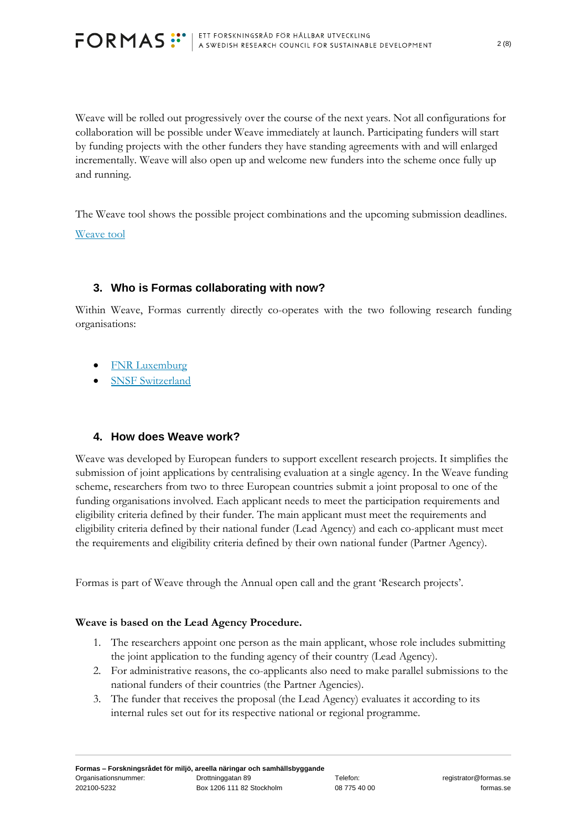

Weave will be rolled out progressively over the course of the next years. Not all configurations for collaboration will be possible under Weave immediately at launch. Participating funders will start by funding projects with the other funders they have standing agreements with and will enlarged incrementally. Weave will also open up and welcome new funders into the scheme once fully up and running.

The Weave tool shows the possible project combinations and the upcoming submission deadlines. [Weave tool](https://weave-research.net/find-your-funding/)

#### **3. Who is Formas collaborating with now?**

Within Weave, Formas currently directly co-operates with the two following research funding organisations:

- **[FNR Luxemburg](https://www.fnr.lu/)**
- [SNSF Switzerland](https://www.snf.ch/en)

#### **4. How does Weave work?**

Weave was developed by European funders to support excellent research projects. It simplifies the submission of joint applications by centralising evaluation at a single agency. In the Weave funding scheme, researchers from two to three European countries submit a joint proposal to one of the funding organisations involved. Each applicant needs to meet the participation requirements and eligibility criteria defined by their funder. The main applicant must meet the requirements and eligibility criteria defined by their national funder (Lead Agency) and each co-applicant must meet the requirements and eligibility criteria defined by their own national funder (Partner Agency).

Formas is part of Weave through the Annual open call and the grant 'Research projects'.

#### **Weave is based on the Lead Agency Procedure.**

- 1. The researchers appoint one person as the main applicant, whose role includes submitting the joint application to the funding agency of their country (Lead Agency).
- 2. For administrative reasons, the co-applicants also need to make parallel submissions to the national funders of their countries (the Partner Agencies).
- 3. The funder that receives the proposal (the Lead Agency) evaluates it according to its internal rules set out for its respective national or regional programme.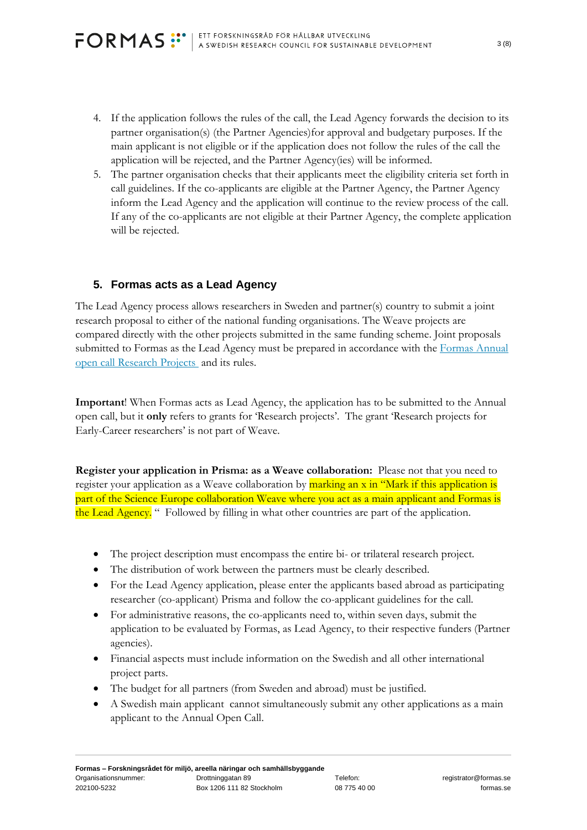- 4. If the application follows the rules of the call, the Lead Agency forwards the decision to its partner organisation(s) (the Partner Agencies)for approval and budgetary purposes. If the main applicant is not eligible or if the application does not follow the rules of the call the application will be rejected, and the Partner Agency(ies) will be informed.
- 5. The partner organisation checks that their applicants meet the eligibility criteria set forth in call guidelines. If the co-applicants are eligible at the Partner Agency, the Partner Agency inform the Lead Agency and the application will continue to the review process of the call. If any of the co-applicants are not eligible at their Partner Agency, the complete application will be rejected.

# **5. Formas acts as a Lead Agency**

The Lead Agency process allows researchers in Sweden and partner(s) country to submit a joint research proposal to either of the national funding organisations. The Weave projects are compared directly with the other projects submitted in the same funding scheme. Joint proposals submitted to Formas as the Lead Agency must be prepared in accordance with the Formas Annual [open call Research Projects](https://formas.se/en/start-page/archive/calls/2022-01-25-annual-open-call---research-projects.html) and its rules.

**Important**! When Formas acts as Lead Agency, the application has to be submitted to the Annual open call, but it **only** refers to grants for 'Research projects'. The grant 'Research projects for Early-Career researchers' is not part of Weave.

**Register your application in Prisma: as a Weave collaboration:** Please not that you need to register your application as a Weave collaboration by marking an x in "Mark if this application is part of the Science Europe collaboration Weave where you act as a main applicant and Formas is the Lead Agency. "Followed by filling in what other countries are part of the application.

- The project description must encompass the entire bi- or trilateral research project.
- The distribution of work between the partners must be clearly described.
- For the Lead Agency application, please enter the applicants based abroad as participating researcher (co-applicant) Prisma and follow the co-applicant guidelines for the call.
- For administrative reasons, the co-applicants need to, within seven days, submit the application to be evaluated by Formas, as Lead Agency, to their respective funders (Partner agencies).
- Financial aspects must include information on the Swedish and all other international project parts.
- The budget for all partners (from Sweden and abroad) must be justified.
- A Swedish main applicant cannot simultaneously submit any other applications as a main applicant to the Annual Open Call.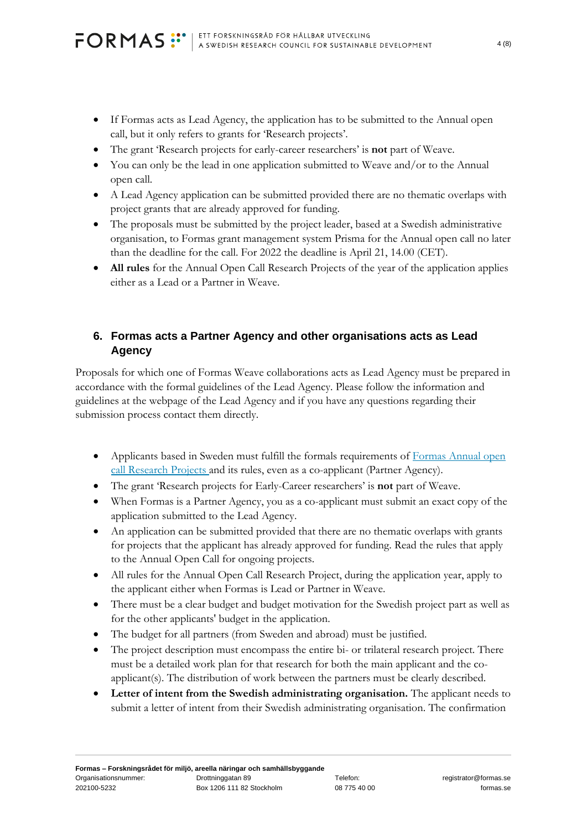- If Formas acts as Lead Agency, the application has to be submitted to the Annual open call, but it only refers to grants for 'Research projects'.
- The grant 'Research projects for early-career researchers' is **not** part of Weave.
- You can only be the lead in one application submitted to Weave and/or to the Annual open call.
- A Lead Agency application can be submitted provided there are no thematic overlaps with project grants that are already approved for funding.
- The proposals must be submitted by the project leader, based at a Swedish administrative organisation, to Formas grant management system Prisma for the Annual open call no later than the deadline for the call. For 2022 the deadline is April 21, 14.00 (CET).
- **All rules** for the Annual Open Call Research Projects of the year of the application applies either as a Lead or a Partner in Weave.

# **6. Formas acts a Partner Agency and other organisations acts as Lead Agency**

Proposals for which one of Formas Weave collaborations acts as Lead Agency must be prepared in accordance with the formal guidelines of the Lead Agency. Please follow the information and guidelines at the webpage of the Lead Agency and if you have any questions regarding their submission process contact them directly.

- Applicants based in Sweden must fulfill the formals requirements of Formas Annual open [call Research Projects a](https://formas.se/en/start-page/archive/calls/2022-01-25-annual-open-call---research-projects.html)nd its rules, even as a co-applicant (Partner Agency).
- The grant 'Research projects for Early-Career researchers' is **not** part of Weave.
- When Formas is a Partner Agency, you as a co-applicant must submit an exact copy of the application submitted to the Lead Agency.
- An application can be submitted provided that there are no thematic overlaps with grants for projects that the applicant has already approved for funding. Read the rules that apply to the Annual Open Call for ongoing projects.
- All rules for the Annual Open Call Research Project, during the application year, apply to the applicant either when Formas is Lead or Partner in Weave.
- There must be a clear budget and budget motivation for the Swedish project part as well as for the other applicants' budget in the application.
- The budget for all partners (from Sweden and abroad) must be justified.
- The project description must encompass the entire bi- or trilateral research project. There must be a detailed work plan for that research for both the main applicant and the coapplicant(s). The distribution of work between the partners must be clearly described.
- **Letter of intent from the Swedish administrating organisation.** The applicant needs to submit a letter of intent from their Swedish administrating organisation. The confirmation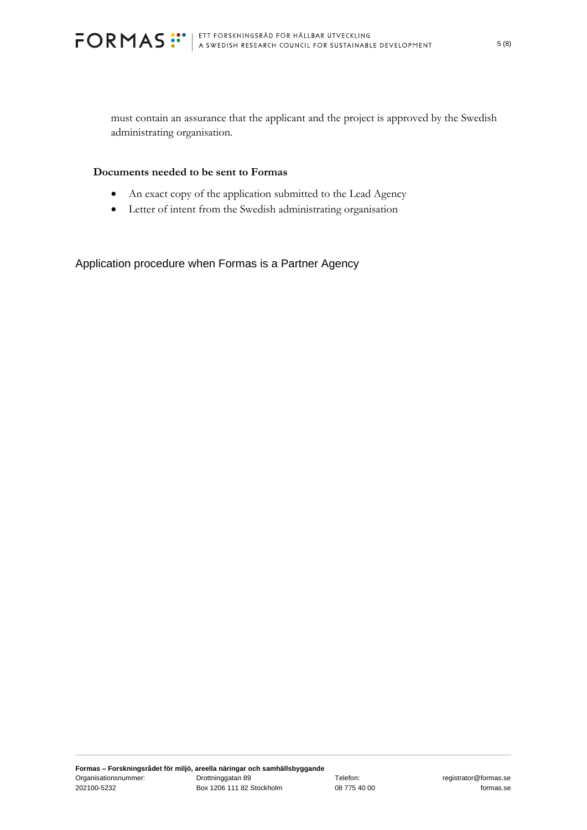must contain an assurance that the applicant and the project is approved by the Swedish administrating organisation.

#### **Documents needed to be sent to Formas**

- An exact copy of the application submitted to the Lead Agency
- Letter of intent from the Swedish administrating organisation

Application procedure when Formas is a Partner Agency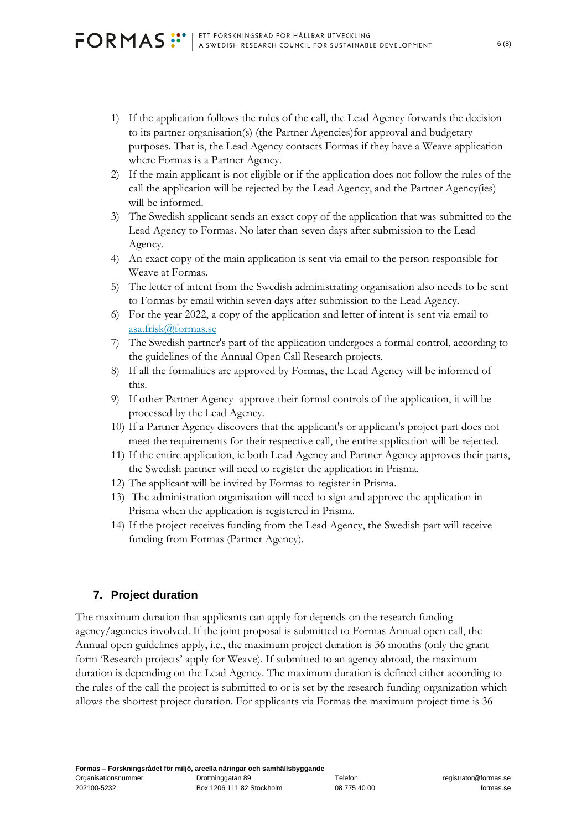- 1) If the application follows the rules of the call, the Lead Agency forwards the decision to its partner organisation(s) (the Partner Agencies)for approval and budgetary purposes. That is, the Lead Agency contacts Formas if they have a Weave application where Formas is a Partner Agency.
- 2) If the main applicant is not eligible or if the application does not follow the rules of the call the application will be rejected by the Lead Agency, and the Partner Agency(ies) will be informed.
- 3) The Swedish applicant sends an exact copy of the application that was submitted to the Lead Agency to Formas. No later than seven days after submission to the Lead Agency.
- 4) An exact copy of the main application is sent via email to the person responsible for Weave at Formas.
- 5) The letter of intent from the Swedish administrating organisation also needs to be sent to Formas by email within seven days after submission to the Lead Agency.
- 6) For the year 2022, a copy of the application and letter of intent is sent via email to [asa.frisk@formas.se](mailto:asa.frisk@formas.se)
- 7) The Swedish partner's part of the application undergoes a formal control, according to the guidelines of the Annual Open Call Research projects.
- 8) If all the formalities are approved by Formas, the Lead Agency will be informed of this.
- 9) If other Partner Agency approve their formal controls of the application, it will be processed by the Lead Agency.
- 10) If a Partner Agency discovers that the applicant's or applicant's project part does not meet the requirements for their respective call, the entire application will be rejected.
- 11) If the entire application, ie both Lead Agency and Partner Agency approves their parts, the Swedish partner will need to register the application in Prisma.
- 12) The applicant will be invited by Formas to register in Prisma.
- 13) The administration organisation will need to sign and approve the application in Prisma when the application is registered in Prisma.
- 14) If the project receives funding from the Lead Agency, the Swedish part will receive funding from Formas (Partner Agency).

# **7. Project duration**

The maximum duration that applicants can apply for depends on the research funding agency/agencies involved. If the joint proposal is submitted to Formas Annual open call, the Annual open guidelines apply, i.e., the maximum project duration is 36 months (only the grant form 'Research projects' apply for Weave). If submitted to an agency abroad, the maximum duration is depending on the Lead Agency. The maximum duration is defined either according to the rules of the call the project is submitted to or is set by the research funding organization which allows the shortest project duration. For applicants via Formas the maximum project time is 36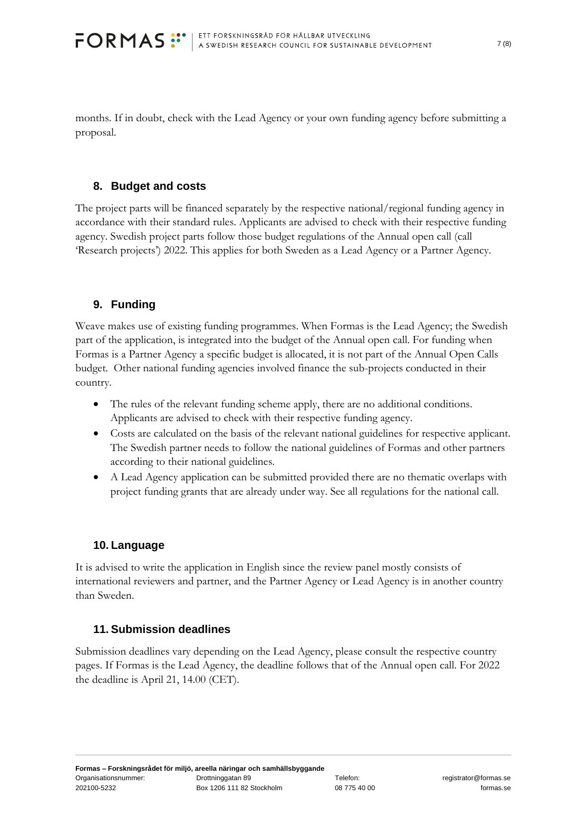months. If in doubt, check with the Lead Agency or your own funding agency before submitting a proposal.

#### **8. Budget and costs**

The project parts will be financed separately by the respective national/regional funding agency in accordance with their standard rules. Applicants are advised to check with their respective funding agency. Swedish project parts follow those budget regulations of the Annual open call (call 'Research projects') 2022. This applies for both Sweden as a Lead Agency or a Partner Agency.

## **9. Funding**

Weave makes use of existing funding programmes. When Formas is the Lead Agency; the Swedish part of the application, is integrated into the budget of the Annual open call. For funding when Formas is a Partner Agency a specific budget is allocated, it is not part of the Annual Open Calls budget. Other national funding agencies involved finance the sub-projects conducted in their country.

- The rules of the relevant funding scheme apply, there are no additional conditions. Applicants are advised to check with their respective funding agency.
- Costs are calculated on the basis of the relevant national guidelines for respective applicant. The Swedish partner needs to follow the national guidelines of Formas and other partners according to their national guidelines.
- A Lead Agency application can be submitted provided there are no thematic overlaps with project funding grants that are already under way. See all regulations for the national call.

# **10. Language**

It is advised to write the application in English since the review panel mostly consists of international reviewers and partner, and the Partner Agency or Lead Agency is in another country than Sweden.

#### **11. Submission deadlines**

Submission deadlines vary depending on the Lead Agency, please consult the respective country pages. If Formas is the Lead Agency, the deadline follows that of the Annual open call. For 2022 the deadline is April 21, 14.00 (CET).